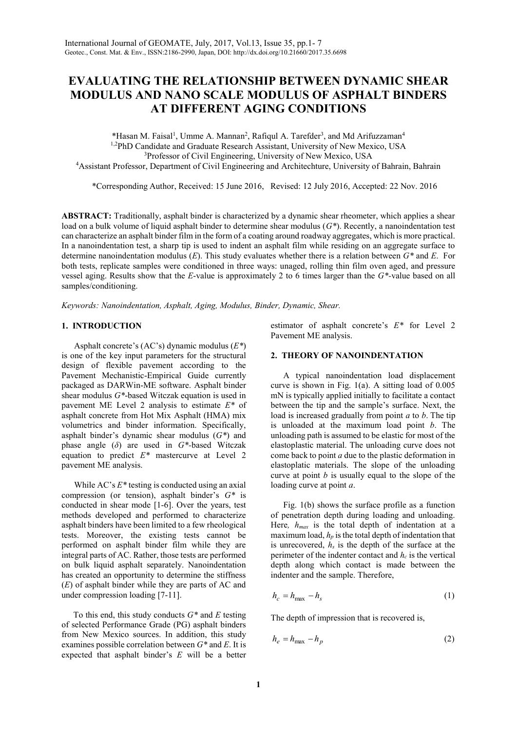# **EVALUATING THE RELATIONSHIP BETWEEN DYNAMIC SHEAR MODULUS AND NANO SCALE MODULUS OF ASPHALT BINDERS AT DIFFERENT AGING CONDITIONS**

\*Hasan M. Faisal<sup>1</sup>, Umme A. Mannan<sup>2</sup>, Rafiqul A. Tarefder<sup>3</sup>, and Md Arifuzzaman<sup>4</sup> <sup>1,2</sup>PhD Candidate and Graduate Research Assistant, University of New Mexico, USA <sup>3</sup>Professor of Civil Engineering, University of New Mexico, USA <sup>4</sup>Assistant Professor, Department of Civil Engineering and Architechture, University of Bahrain, Bahrain

\*Corresponding Author, Received: 15 June 2016, Revised: 12 July 2016, Accepted: 22 Nov. 2016

**ABSTRACT:** Traditionally, asphalt binder is characterized by a dynamic shear rheometer, which applies a shear load on a bulk volume of liquid asphalt binder to determine shear modulus (*G\**). Recently, a nanoindentation test can characterize an asphalt binder film in the form of a coating around roadway aggregates, which is more practical. In a nanoindentation test, a sharp tip is used to indent an asphalt film while residing on an aggregate surface to determine nanoindentation modulus (*E*). This study evaluates whether there is a relation between *G\** and *E*. For both tests, replicate samples were conditioned in three ways: unaged, rolling thin film oven aged, and pressure vessel aging. Results show that the *E*-value is approximately 2 to 6 times larger than the *G\*-*value based on all samples/conditioning.

*Keywords: Nanoindentation, Asphalt, Aging, Modulus, Binder, Dynamic, Shear.*

## **1. INTRODUCTION**

Asphalt concrete's (AC's) dynamic modulus (*E\**) is one of the key input parameters for the structural design of flexible pavement according to the Pavement Mechanistic-Empirical Guide currently packaged as DARWin-ME software. Asphalt binder shear modulus *G\**-based Witczak equation is used in pavement ME Level 2 analysis to estimate *E\** of asphalt concrete from Hot Mix Asphalt (HMA) mix volumetrics and binder information. Specifically, asphalt binder's dynamic shear modulus (*G\**) and phase angle (*δ*) are used in *G\*-*based Witczak equation to predict *E\** mastercurve at Level 2 pavement ME analysis.

While AC's *E\** testing is conducted using an axial compression (or tension), asphalt binder's *G\** is conducted in shear mode [1-6]. Over the years, test methods developed and performed to characterize asphalt binders have been limited to a few rheological tests. Moreover, the existing tests cannot be performed on asphalt binder film while they are integral parts of AC. Rather, those tests are performed on bulk liquid asphalt separately. Nanoindentation has created an opportunity to determine the stiffness (*E*) of asphalt binder while they are parts of AC and under compression loading [7-11].

To this end, this study conducts *G\** and *E* testing of selected Performance Grade (PG) asphalt binders from New Mexico sources. In addition, this study examines possible correlation between *G\** and *E*. It is expected that asphalt binder's *E* will be a better estimator of asphalt concrete's *E\** for Level 2 Pavement ME analysis.

# **2. THEORY OF NANOINDENTATION**

A typical nanoindentation load displacement curve is shown in Fig. 1(a). A sitting load of 0.005 mN is typically applied initially to facilitate a contact between the tip and the sample's surface. Next, the load is increased gradually from point *a* to *b*. The tip is unloaded at the maximum load point *b*. The unloading path is assumed to be elastic for most of the elastoplastic material. The unloading curve does not come back to point *a* due to the plastic deformation in elastoplatic materials. The slope of the unloading curve at point *b* is usually equal to the slope of the loading curve at point *a*.

Fig. 1(b) shows the surface profile as a function of penetration depth during loading and unloading. Here*, hmax* is the total depth of indentation at a maximum load, *h<sup>p</sup>* is the total depth of indentation that is unrecovered,  $h_s$  is the depth of the surface at the perimeter of the indenter contact and *h<sup>c</sup>* is the vertical depth along which contact is made between the indenter and the sample. Therefore,

$$
h_c = h_{\text{max}} - h_s \tag{1}
$$

The depth of impression that is recovered is,

$$
h_e = h_{\text{max}} - h_p \tag{2}
$$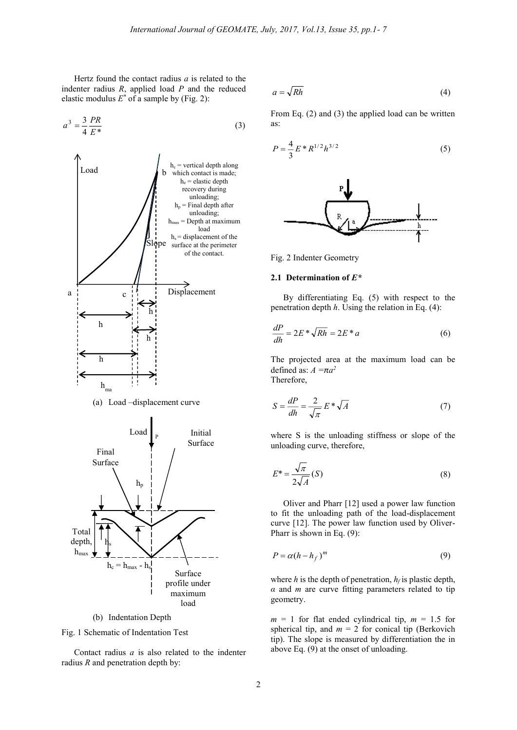Hertz found the contact radius *a* is related to the indenter radius *R*, applied load *P* and the reduced elastic modulus *E \** of a sample by (Fig. 2):

$$
a^3 = \frac{3}{4} \frac{PR}{E^*}
$$
 (3)



(a) Load –displacement curve



(b) Indentation Depth

Fig. 1 Schematic of Indentation Test

Contact radius *a* is also related to the indenter radius *R* and penetration depth by:

$$
a = \sqrt{Rh} \tag{4}
$$

From Eq. (2) and (3) the applied load can be written as:

$$
P = \frac{4}{3} E^* R^{1/2} h^{3/2}
$$
 (5)



Fig. 2 Indenter Geometry

## **2.1 Determination of** *E\**

By differentiating Eq. (5) with respect to the penetration depth *h*. Using the relation in Eq. (4):

$$
\frac{dP}{dh} = 2E \cdot \sqrt{Rh} = 2E \cdot a \tag{6}
$$

The projected area at the maximum load can be defined as:  $A = \pi a^2$ Therefore,

$$
S = \frac{dP}{dh} = \frac{2}{\sqrt{\pi}} E^* \sqrt{A}
$$
 (7)

where S is the unloading stiffness or slope of the unloading curve, therefore,

$$
E^* = \frac{\sqrt{\pi}}{2\sqrt{A}}(S)
$$
 (8)

Oliver and Pharr [12] used a power law function to fit the unloading path of the load-displacement curve [12]. The power law function used by Oliver-Pharr is shown in Eq. (9):

$$
P = \alpha (h - h_f)^m \tag{9}
$$

where  $h$  is the depth of penetration,  $h_f$  is plastic depth, *α* and *m* are curve fitting parameters related to tip geometry.

 $m = 1$  for flat ended cylindrical tip,  $m = 1.5$  for spherical tip, and  $m = 2$  for conical tip (Berkovich tip). The slope is measured by differentiation the in above Eq. (9) at the onset of unloading.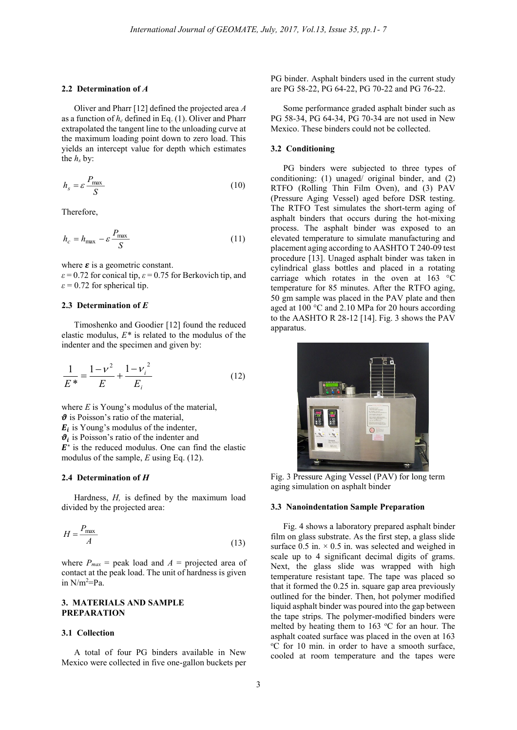#### **2.2 Determination of** *A*

Oliver and Pharr [12] defined the projected area *A* as a function of *h<sup>c</sup>* defined in Eq. (1). Oliver and Pharr extrapolated the tangent line to the unloading curve at the maximum loading point down to zero load. This yields an intercept value for depth which estimates the  $h_s$  by:

$$
h_s = \varepsilon \frac{P_{\text{max}}}{S} \tag{10}
$$

Therefore,

$$
h_c = h_{\text{max}} - \varepsilon \frac{P_{\text{max}}}{S} \tag{11}
$$

where  $\varepsilon$  is a geometric constant.

 $\epsilon$  = 0.72 for conical tip,  $\epsilon$  = 0.75 for Berkovich tip, and  $\varepsilon$  = 0.72 for spherical tip.

#### **2.3 Determination of** *E*

Timoshenko and Goodier [12] found the reduced elastic modulus,  $E^*$  is related to the modulus of the indenter and the specimen and given by:

$$
\frac{1}{E^*} = \frac{1 - v^2}{E} + \frac{1 - v_i^2}{E_i}
$$
 (12)

where *E* is Young's modulus of the material,  $\theta$  is Poisson's ratio of the material,  $E_i$  is Young's modulus of the indenter,  $\theta_i$  is Poisson's ratio of the indenter and  $E^*$  is the reduced modulus. One can find the elastic modulus of the sample, *E* using Eq. (12).

#### **2.4 Determination of** *H*

Hardness, *H,* is defined by the maximum load divided by the projected area:

$$
H = \frac{P_{\text{max}}}{A} \tag{13}
$$

where  $P_{max}$  = peak load and  $A$  = projected area of contact at the peak load. The unit of hardness is given in N/m<sup>2</sup>=Pa.

## **3. MATERIALS AND SAMPLE PREPARATION**

# **3.1 Collection**

A total of four PG binders available in New Mexico were collected in five one-gallon buckets per PG binder. Asphalt binders used in the current study are PG 58-22, PG 64-22, PG 70-22 and PG 76-22.

Some performance graded asphalt binder such as PG 58-34, PG 64-34, PG 70-34 are not used in New Mexico. These binders could not be collected.

#### **3.2 Conditioning**

PG binders were subjected to three types of conditioning: (1) unaged/ original binder, and (2) RTFO (Rolling Thin Film Oven), and (3) PAV (Pressure Aging Vessel) aged before DSR testing. The RTFO Test simulates the short-term aging of asphalt binders that occurs during the hot-mixing process. The asphalt binder was exposed to an elevated temperature to simulate manufacturing and placement aging according to AASHTO T 240-09 test procedure [13]. Unaged asphalt binder was taken in cylindrical glass bottles and placed in a rotating carriage which rotates in the oven at 163 °C temperature for 85 minutes. After the RTFO aging, 50 gm sample was placed in the PAV plate and then aged at 100 °C and 2.10 MPa for 20 hours according to the AASHTO R 28-12 [14]. Fig. 3 shows the PAV apparatus.



Fig. 3 Pressure Aging Vessel (PAV) for long term aging simulation on asphalt binder

## **3.3 Nanoindentation Sample Preparation**

Fig. 4 shows a laboratory prepared asphalt binder film on glass substrate. As the first step, a glass slide surface  $0.5$  in.  $\times$  0.5 in. was selected and weighed in scale up to 4 significant decimal digits of grams. Next, the glass slide was wrapped with high temperature resistant tape. The tape was placed so that it formed the 0.25 in. square gap area previously outlined for the binder. Then, hot polymer modified liquid asphalt binder was poured into the gap between the tape strips. The polymer-modified binders were melted by heating them to  $163$  °C for an hour. The asphalt coated surface was placed in the oven at 163 <sup>o</sup>C for 10 min. in order to have a smooth surface, cooled at room temperature and the tapes were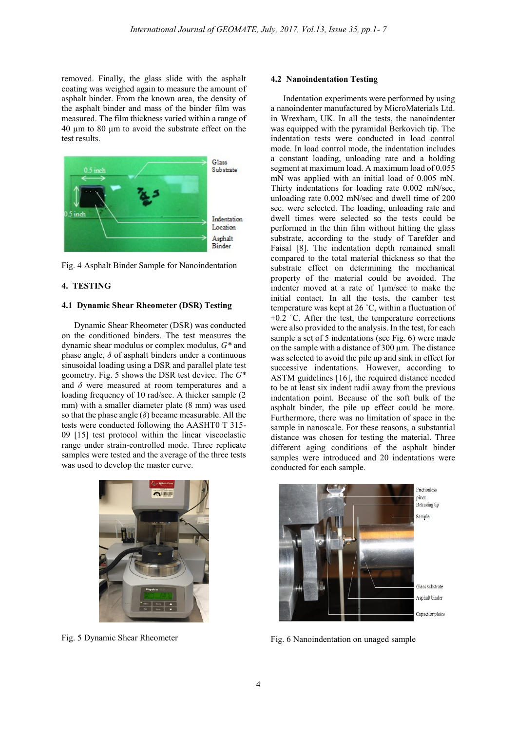removed. Finally, the glass slide with the asphalt coating was weighed again to measure the amount of asphalt binder. From the known area, the density of the asphalt binder and mass of the binder film was measured. The film thickness varied within a range of 40 µm to 80 µm to avoid the substrate effect on the test results.



Fig. 4 Asphalt Binder Sample for Nanoindentation

# **4. TESTING**

#### **4.1 Dynamic Shear Rheometer (DSR) Testing**

Dynamic Shear Rheometer (DSR) was conducted on the conditioned binders. The test measures the dynamic shear modulus or complex modulus, *G\** and phase angle,  $\delta$  of asphalt binders under a continuous sinusoidal loading using a DSR and parallel plate test geometry. Fig. 5 shows the DSR test device. The *G\** and *δ* were measured at room temperatures and a loading frequency of 10 rad/sec. A thicker sample (2 mm) with a smaller diameter plate (8 mm) was used so that the phase angle  $(\delta)$  became measurable. All the tests were conducted following the AASHT0 T 315- 09 [15] test protocol within the linear viscoelastic range under strain-controlled mode. Three replicate samples were tested and the average of the three tests was used to develop the master curve.



Fig. 5 Dynamic Shear Rheometer

#### **4.2 Nanoindentation Testing**

Indentation experiments were performed by using a nanoindenter manufactured by MicroMaterials Ltd. in Wrexham, UK. In all the tests, the nanoindenter was equipped with the pyramidal Berkovich tip. The indentation tests were conducted in load control mode. In load control mode, the indentation includes a constant loading, unloading rate and a holding segment at maximum load. A maximum load of 0.055 mN was applied with an initial load of 0.005 mN. Thirty indentations for loading rate 0.002 mN/sec, unloading rate 0.002 mN/sec and dwell time of 200 sec. were selected. The loading, unloading rate and dwell times were selected so the tests could be performed in the thin film without hitting the glass substrate, according to the study of Tarefder and Faisal [8]. The indentation depth remained small compared to the total material thickness so that the substrate effect on determining the mechanical property of the material could be avoided. The indenter moved at a rate of 1µm/sec to make the initial contact. In all the tests, the camber test temperature was kept at 26 ˚C, within a fluctuation of  $\pm 0.2$  °C. After the test, the temperature corrections were also provided to the analysis. In the test, for each sample a set of 5 indentations (see Fig. 6) were made on the sample with a distance of 300 µm. The distance was selected to avoid the pile up and sink in effect for successive indentations. However, according to ASTM guidelines [16], the required distance needed to be at least six indent radii away from the previous indentation point. Because of the soft bulk of the asphalt binder, the pile up effect could be more. Furthermore, there was no limitation of space in the sample in nanoscale. For these reasons, a substantial distance was chosen for testing the material. Three different aging conditions of the asphalt binder samples were introduced and 20 indentations were conducted for each sample.



Fig. 6 Nanoindentation on unaged sample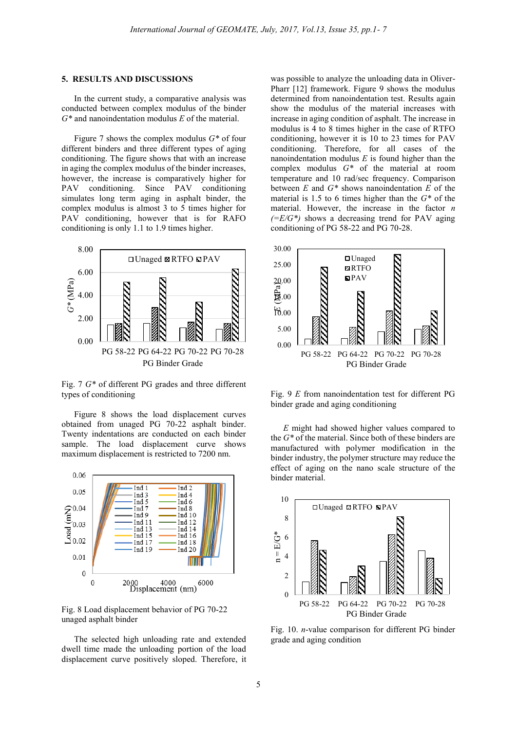#### **5. RESULTS AND DISCUSSIONS**

In the current study, a comparative analysis was conducted between complex modulus of the binder *G\** and nanoindentation modulus *E* of the material.

Figure 7 shows the complex modulus *G\** of four different binders and three different types of aging conditioning. The figure shows that with an increase in aging the complex modulus of the binder increases, however, the increase is comparatively higher for PAV conditioning. Since PAV conditioning simulates long term aging in asphalt binder, the complex modulus is almost 3 to 5 times higher for PAV conditioning, however that is for RAFO conditioning is only 1.1 to 1.9 times higher.



Fig. 7 *G\** of different PG grades and three different types of conditioning

Figure 8 shows the load displacement curves obtained from unaged PG 70-22 asphalt binder. Twenty indentations are conducted on each binder sample. The load displacement curve shows maximum displacement is restricted to 7200 nm.



Fig. 8 Load displacement behavior of PG 70-22 unaged asphalt binder

The selected high unloading rate and extended dwell time made the unloading portion of the load displacement curve positively sloped. Therefore, it was possible to analyze the unloading data in Oliver-Pharr [12] framework. Figure 9 shows the modulus determined from nanoindentation test. Results again show the modulus of the material increases with increase in aging condition of asphalt. The increase in modulus is 4 to 8 times higher in the case of RTFO conditioning, however it is 10 to 23 times for PAV conditioning. Therefore, for all cases of the nanoindentation modulus *E* is found higher than the complex modulus *G\** of the material at room temperature and 10 rad/sec frequency. Comparison between *E* and *G\** shows nanoindentation *E* of the material is 1.5 to 6 times higher than the *G\** of the material. However, the increase in the factor *n*   $(E/G^*)$  shows a decreasing trend for PAV aging conditioning of PG 58-22 and PG 70-28.



Fig. 9 *E* from nanoindentation test for different PG binder grade and aging conditioning

*E* might had showed higher values compared to the *G\** of the material. Since both of these binders are manufactured with polymer modification in the binder industry, the polymer structure may reduce the effect of aging on the nano scale structure of the binder material.



Fig. 10. *n*-value comparison for different PG binder grade and aging condition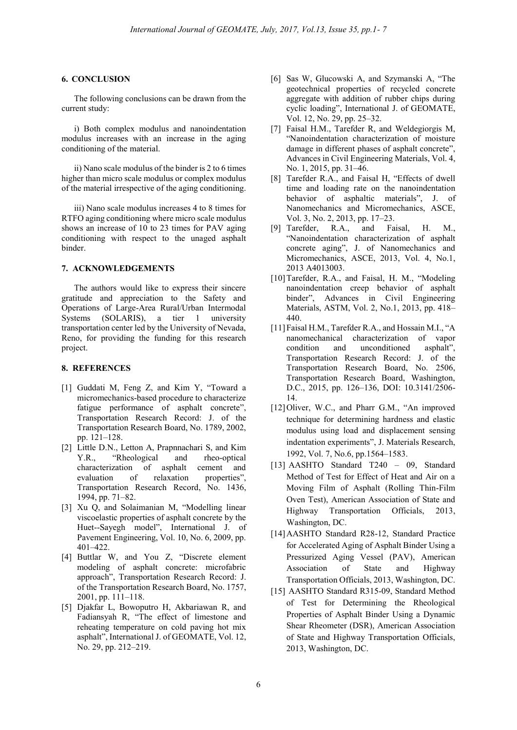## **6. CONCLUSION**

The following conclusions can be drawn from the current study:

i) Both complex modulus and nanoindentation modulus increases with an increase in the aging conditioning of the material.

ii) Nano scale modulus of the binder is 2 to 6 times higher than micro scale modulus or complex modulus of the material irrespective of the aging conditioning.

iii) Nano scale modulus increases 4 to 8 times for RTFO aging conditioning where micro scale modulus shows an increase of 10 to 23 times for PAV aging conditioning with respect to the unaged asphalt binder.

## **7. ACKNOWLEDGEMENTS**

The authors would like to express their sincere gratitude and appreciation to the Safety and Operations of Large-Area Rural/Urban Intermodal Systems (SOLARIS), a tier 1 university transportation center led by the University of Nevada, Reno, for providing the funding for this research project.

# **8. REFERENCES**

- [1] Guddati M, Feng Z, and Kim Y, "Toward a micromechanics-based procedure to characterize fatigue performance of asphalt concrete", Transportation Research Record: J. of the Transportation Research Board, No. 1789, 2002, pp. 121–128.
- [2] Little D.N., Letton A, Prapnnachari S, and Kim Y.R., "Rheological and rheo-optical<br>characterization of asphalt cement and characterization of asphalt cement and evaluation of relaxation properties", Transportation Research Record, No. 1436, 1994, pp. 71–82.
- [3] Xu Q, and Solaimanian M, "Modelling linear viscoelastic properties of asphalt concrete by the Huet--Sayegh model", International J. of Pavement Engineering, Vol. 10, No. 6, 2009, pp. 401–422.
- [4] Buttlar W, and You Z, "Discrete element modeling of asphalt concrete: microfabric approach", Transportation Research Record: J. of the Transportation Research Board, No. 1757, 2001, pp. 111–118.
- [5] Djakfar L, Bowoputro H, Akbariawan R, and Fadiansyah R, "The effect of limestone and reheating temperature on cold paving hot mix asphalt", International J. of GEOMATE, Vol. 12, No. 29, pp. 212–219.
- [6] Sas W, Glucowski A, and Szymanski A, "The geotechnical properties of recycled concrete aggregate with addition of rubber chips during cyclic loading", International J. of GEOMATE, Vol. 12, No. 29, pp. 25–32.
- [7] Faisal H.M., Tarefder R, and Weldegiorgis M, "Nanoindentation characterization of moisture damage in different phases of asphalt concrete", Advances in Civil Engineering Materials, Vol. 4, No. 1, 2015, pp. 31–46.
- [8] Tarefder R.A., and Faisal H, "Effects of dwell time and loading rate on the nanoindentation behavior of asphaltic materials", J. of Nanomechanics and Micromechanics, ASCE, Vol. 3, No. 2, 2013, pp. 17–23.
- [9] Tarefder, R.A., and Faisal, H. M., "Nanoindentation characterization of asphalt concrete aging", J. of Nanomechanics and Micromechanics, ASCE, 2013, Vol. 4, No.1, 2013 A4013003.
- [10]Tarefder, R.A., and Faisal, H. M., "Modeling nanoindentation creep behavior of asphalt binder", Advances in Civil Engineering Materials, ASTM, Vol. 2, No.1, 2013, pp. 418– 440.
- [11]Faisal H.M., Tarefder R.A., and Hossain M.I., "A nanomechanical characterization of vapor condition and unconditioned asphalt", Transportation Research Record: J. of the Transportation Research Board, No. 2506, Transportation Research Board, Washington, D.C., 2015, pp. 126–136, DOI: 10.3141/2506- 14.
- [12]Oliver, W.C., and Pharr G.M., "An improved technique for determining hardness and elastic modulus using load and displacement sensing indentation experiments", J. Materials Research, 1992, Vol. 7, No.6, pp.1564–1583.
- [13] AASHTO Standard T240 09, Standard Method of Test for Effect of Heat and Air on a Moving Film of Asphalt (Rolling Thin-Film Oven Test), American Association of State and Highway Transportation Officials, 2013, Washington, DC.
- [14]AASHTO Standard R28-12, Standard Practice for Accelerated Aging of Asphalt Binder Using a Pressurized Aging Vessel (PAV), American Association of State and Highway Transportation Officials, 2013, Washington, DC.
- [15] AASHTO Standard R315-09, Standard Method of Test for Determining the Rheological Properties of Asphalt Binder Using a Dynamic Shear Rheometer (DSR), American Association of State and Highway Transportation Officials, 2013, Washington, DC.